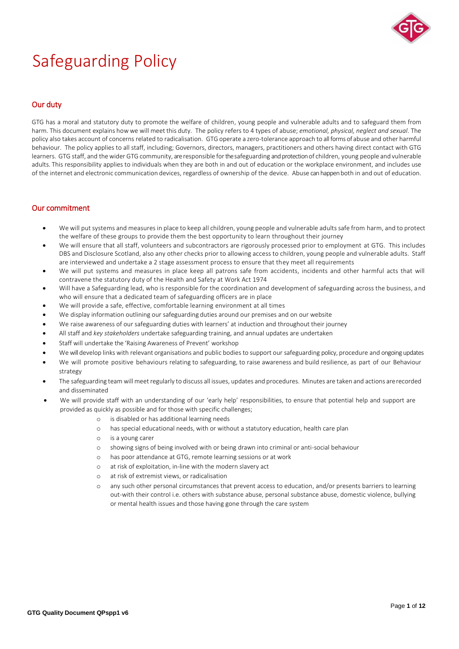

# Safeguarding Policy

# Our duty

GTG has a moral and statutory duty to promote the welfare of children, young people and vulnerable adults and to safeguard them from harm. This document explains how we will meet this duty. The policy refers to 4 types of abuse; *emotional, physical, neglect and sexual*. The policy also takes account of concerns related to radicalisation. GTG operate a zero-tolerance approach to all forms of abuse and other harmful behaviour. The policy applies to all staff, including; Governors, directors, managers, practitioners and others having direct contact with GTG learners. GTG staff, and thewider GTG community, areresponsible forthe safeguarding and protection of children, young people and vulnerable adults. This responsibility applies to individuals when they are both in and out of education or the workplace environment, and includes use of the internet and electronic communication devices, regardless of ownership of the device. Abuse can happen both in and out of education.

# Our commitment

- We will put systems and measures in place to keep all children, young people and vulnerable adults safe from harm, and to protect the welfare of these groups to provide them the best opportunity to learn throughout their journey
- We will ensure that all staff, volunteers and subcontractors are rigorously processed prior to employment at GTG. This includes DBS and Disclosure Scotland, also any other checks prior to allowing access to children, young people and vulnerable adults. Staff are interviewed and undertake a 2 stage assessment process to ensure that they meet all requirements
- We will put systems and measures in place keep all patrons safe from accidents, incidents and other harmful acts that will contravene the statutory duty of the Health and Safety at Work Act 1974
- Will have a Safeguarding lead, who is responsible for the coordination and development of safeguarding across the business, and who will ensure that a dedicated team of safeguarding officers are in place
- We will provide a safe, effective, comfortable learning environment at all times
- We display information outlining our safeguarding duties around our premises and on our website
- We raise awareness of our safeguarding duties with learners' at induction and throughout their journey
- All staff and *key stakeholders* undertake safeguarding training, and annual updates are undertaken
- Staff will undertake the 'Raising Awareness of Prevent' workshop
- We will develop links with relevant organisations and public bodies to support our safeguarding policy, procedure and ongoing updates
- We will promote positive behaviours relating to safeguarding, to raise awareness and build resilience, as part of our Behaviour strategy
- The safeguarding team will meet regularly to discuss all issues, updates and procedures. Minutes are taken and actions arerecorded and disseminated
- We will provide staff with an understanding of our 'early help' responsibilities, to ensure that potential help and support are provided as quickly as possible and for those with specific challenges;
	- o is disabled or has additional learning needs
	- o has special educational needs, with or without a statutory education, health care plan
	- o is a young carer
	- o showing signs of being involved with or being drawn into criminal or anti-social behaviour
	- o has poor attendance at GTG, remote learning sessions or at work
	- o at risk of exploitation, in-line with the modern slavery act
	- o at risk of extremist views, or radicalisation
	- o any such other personal circumstances that prevent access to education, and/or presents barriers to learning out-with their control i.e. others with substance abuse, personal substance abuse, domestic violence, bullying or mental health issues and those having gone through the care system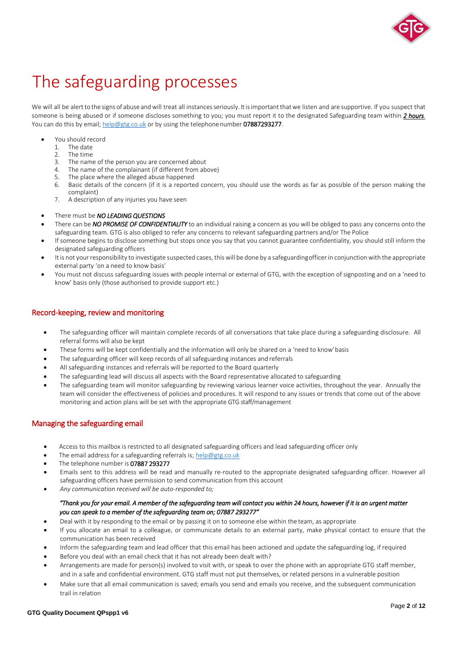

# The safeguarding processes

We will all be alert to the signs of abuse and will treat all instances seriously. It is important that we listen and are supportive. If you suspect that someone is being abused or if someone discloses something to you; you must report it to the designated Safeguarding team within *2 hours*. You can do this by email; [help@gtg.co.uk](mailto:help@gtg.co.uk) or by using the telephonenumber 07887293277.

- You should record<br>1. The date
	- The date
	- 2. The time<br>3. The name
	- 3. The name of the person you are concerned about<br>4 The name of the complainant (if different from ab
	- The name of the complainant (if different from above)
	- The place where the alleged abuse happened
	- 6. Basic details of the concern (if it is a reported concern, you should use the words as far as possible of the person making the complaint)
	- 7. A description of any injuries you have seen
- There must be *NO LEADING QUESTIONS*
- There can be *NO PROMISE OF CONFIDENTIALITY* to an individual raising a concern as you will be obliged to pass any concerns onto the safeguarding team. GTG is also obliged to refer any concerns to relevant safeguarding partners and/or The Police
- If someone begins to disclose something but stops once you say that you cannot guarantee confidentiality, you should still inform the designated safeguarding officers
- It is not your responsibility to investigate suspected cases, this will be done by a safeguardingofficer in conjunction with the appropriate external party 'on a need to know basis'
- You must not discuss safeguarding issues with people internal or external of GTG, with the exception of signposting and on a 'need to know' basis only (those authorised to provide support etc.)

# Record-keeping, review and monitoring

- The safeguarding officer will maintain complete records of all conversations that take place during a safeguarding disclosure. All referral forms will also be kept
- These forms will be kept confidentially and the information will only be shared on a 'need to know'basis
- The safeguarding officer will keep records of all safeguarding instances and referrals
- All safeguarding instances and referrals will be reported to the Board quarterly
- The safeguarding lead will discuss all aspects with the Board representative allocated to safeguarding
- The safeguarding team will monitor safeguarding by reviewing various learner voice activities, throughout the year. Annually the team will consider the effectiveness of policies and procedures. It will respond to any issues or trends that come out of the above monitoring and action plans will be set with the appropriate GTG staff/management

# Managing the safeguarding email

- Access to this mailbox is restricted to all designated safeguarding officers and lead safeguarding officer only
- The email address for a safeguarding referrals is; [help@gtg.co.uk](mailto:help@gtg.co.uk)
- The telephone number is 07887 293277
- Emails sent to this address will be read and manually re-routed to the appropriate designated safeguarding officer. However all safeguarding officers have permission to send communication from this account
- *Any communication received will be auto-responded to;*

# *"Thank you for your email. A member of the safeguarding team will contact you within 24 hours, however if it is an urgent matter you can speak to a member of the safeguarding team on; 07887 293277"*

- Deal with it by responding to the email or by passing it on to someone else within the team, as appropriate
- If you allocate an email to a colleague, or communicate details to an external party, make physical contact to ensure that the communication has been received
- Inform the safeguarding team and lead officer that this email has been actioned and update the safeguarding log, if required
- Before you deal with an email check that it has not already been dealt with?
- Arrangements are made for person(s) involved to visit with, or speak to over the phone with an appropriate GTG staff member, and in a safe and confidential environment. GTG staff must not put themselves, or related persons in a vulnerable position
- Make sure that all email communication is saved; emails you send and emails you receive, and the subsequent communication trail in relation

# **GTG Quality Document QPspp1 v6**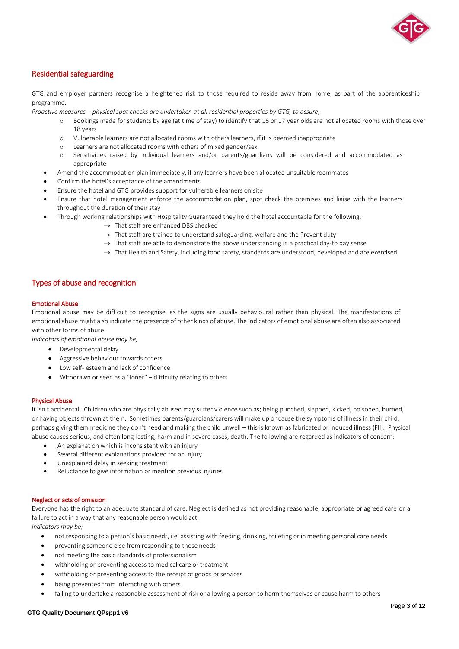

# Residential safeguarding

GTG and employer partners recognise a heightened risk to those required to reside away from home, as part of the apprenticeship programme.

*Proactive measures – physical spot checks are undertaken at all residential properties by GTG, to assure;*

- o Bookings made for students by age (at time of stay) to identify that 16 or 17 year olds are not allocated rooms with those over 18 years
- o Vulnerable learners are not allocated rooms with others learners, if it is deemed inappropriate
- Learners are not allocated rooms with others of mixed gender/sex
- o Sensitivities raised by individual learners and/or parents/guardians will be considered and accommodated as appropriate
- Amend the accommodation plan immediately, if any learners have been allocated unsuitable roommates
- Confirm the hotel's acceptance of the amendments
- Ensure the hotel and GTG provides support for vulnerable learners on site
- Ensure that hotel management enforce the accommodation plan, spot check the premises and liaise with the learners throughout the duration of their stay
- Through working relationships with Hospitality Guaranteed they hold the hotel accountable for the following;
	- $\rightarrow$  That staff are enhanced DBS checked
	- $\rightarrow$  That staff are trained to understand safeguarding, welfare and the Prevent duty
	- $\rightarrow$  That staff are able to demonstrate the above understanding in a practical day-to day sense
	- $\rightarrow$  That Health and Safety, including food safety, standards are understood, developed and are exercised

# Types of abuse and recognition

#### Emotional Abuse

Emotional abuse may be difficult to recognise, as the signs are usually behavioural rather than physical. The manifestations of emotional abuse might also indicate the presence of other kinds of abuse. The indicators of emotional abuse are often also associated with other forms of abuse.

*Indicators of emotional abuse may be;*

- Developmental delay
- Aggressive behaviour towards others
- Low self- esteem and lack of confidence
- Withdrawn or seen as a "loner" difficulty relating to others

# Physical Abuse

It isn't accidental. Children who are physically abused may suffer violence such as; being punched, slapped, kicked, poisoned, burned, or having objects thrown at them. Sometimes parents/guardians/carers will make up or cause the symptoms of illness in their child, perhaps giving them medicine they don't need and making the child unwell – this is known as fabricated or induced illness (FII). Physical abuse causes serious, and often long-lasting, harm and in severe cases, death. The following are regarded as indicators of concern:

- An explanation which is inconsistent with an injury
- Several different explanations provided for an injury
- Unexplained delay in seeking treatment
- Reluctance to give information or mention previous injuries

#### Neglect or acts of omission

Everyone has the right to an adequate standard of care. Neglect is defined as not providing reasonable, appropriate or agreed care or a failure to act in a way that any reasonable person would act.

*Indicators may be;*

- not responding to a person's basic needs, i.e. assisting with feeding, drinking, toileting or in meeting personal care needs
- preventing someone else from responding to those needs
- not meeting the basic standards of professionalism
- withholding or preventing access to medical care or treatment
- withholding or preventing access to the receipt of goods or services
- being prevented from interacting with others
- failing to undertake a reasonable assessment of risk or allowing a person to harm themselves or cause harm to others

#### **GTG Quality Document QPspp1 v6**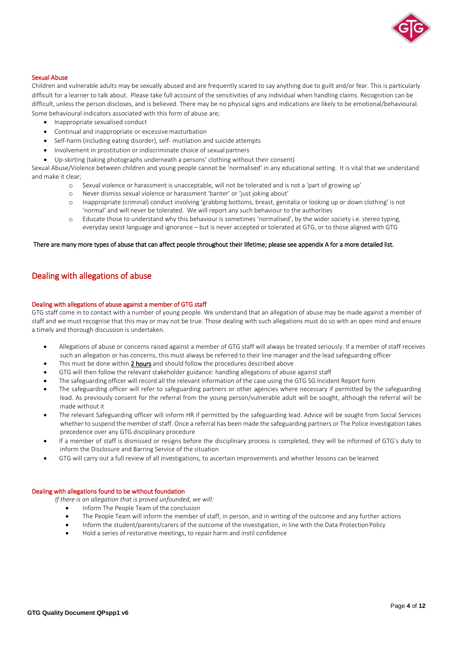

#### Sexual Abuse

Children and vulnerable adults may be sexually abused and are frequently scared to say anything due to guilt and/or fear. This is particularly difficult for a learner to talk about. Please take full account of the sensitivities of any individual when handling claims. Recognition can be difficult, unless the person discloses, and is believed. There may be no physical signs and indications are likely to be emotional/behavioural. Some behavioural indicators associated with this form of abuse are;

- Inappropriate sexualised conduct
- Continual and inappropriate or excessive masturbation
- Self-harm (including eating disorder), self- mutilation and suicide attempts
- Involvement in prostitution or indiscriminate choice of sexual partners
- Up-skirting (taking photographs underneath a persons' clothing without their consent)

Sexual Abuse/Violence between children and young people cannot be 'normalised' in any educational setting. It is vital that we understand and make it clear;

- o Sexual violence or harassment is unacceptable, will not be tolerated and is not a 'part of growing up'
- Never dismiss sexual violence or harassment 'banter' or 'just joking about'
- o Inappropriate (criminal) conduct involving 'grabbing bottoms, breast, genitalia or looking up or down clothing' is not 'normal' and will never be tolerated. We will report any such behaviour to the authorities
- o Educate those to understand why this behaviour is sometimes 'normalised', by the wider society i.e. stereo typing, everyday sexist language and ignorance – but is never accepted or tolerated at GTG, or to those aligned with GTG

# There are many more types of abuse that can affect people throughout their lifetime; please see appendix A for a more detailed list.

# Dealing with allegations of abuse

#### Dealing with allegations of abuse against a member of GTG staff

GTG staff come in to contact with a number of young people. We understand that an allegation of abuse may be made against a member of staff and we must recognise that this may or may not be true. Those dealing with such allegations must do so with an open mind and ensure a timely and thorough discussion is undertaken.

- Allegations of abuse or concerns raised against a member of GTG staff will always be treated seriously. If a member of staff receives such an allegation or has concerns, this must always be referred to their line manager and the lead safeguarding officer
- This must be done within 2 hours and should follow the procedures described above
- GTG will then follow the relevant stakeholder guidance: handling allegations of abuse against staff
- The safeguarding officer will record all the relevant information of the case using the GTG SG Incident Report form
- The safeguarding officer will refer to safeguarding partners or other agencies where necessary if permitted by the safeguarding lead. As previously consent for the referral from the young person/vulnerable adult will be sought, although the referral will be made without it
- The relevant Safeguarding officer will inform HR if permitted by the safeguarding lead. Advice will be sought from Social Services whether to suspend the member of staff. Once a referral has been made the safeguarding partners or The Police investigation takes precedence over any GTG disciplinary procedure
- If a member of staff is dismissed or resigns before the disciplinary process is completed, they will be informed of GTG's duty to inform the Disclosure and Barring Service of the situation
- GTG will carry out a full review of all investigations, to ascertain improvements and whether lessons can be learned

# Dealing with allegations found to be without foundation

*If there is an allegation that is proved unfounded, we will:*

- Inform The People Team of the conclusion
- The People Team will inform the member of staff, in person, and in writing of the outcome and any further actions
- Inform the student/parents/carers of the outcome of the investigation, in line with the Data ProtectionPolicy
- Hold a series of restorative meetings, to repair harm and instil confidence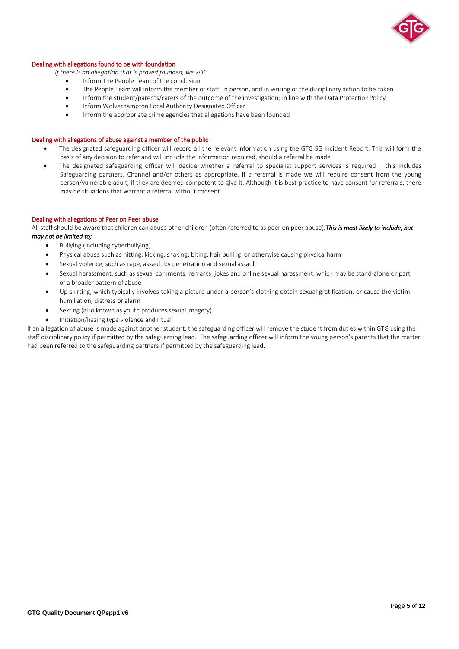

#### Dealing with allegations found to be with foundation

*If there is an allegation that is proved founded, we will:*

- Inform The People Team of the conclusion
- The People Team will inform the member of staff, in person, and in writing of the disciplinary action to be taken<br>• Inform the student/parents/carers of the outcome of the investigation: in line with the Data Protection
- Inform the student/parents/carers of the outcome of the investigation; in line with the Data ProtectionPolicy
- Inform Wolverhampton Local Authority Designated Officer
- Inform the appropriate crime agencies that allegations have been founded

# Dealing with allegations of abuse against a member of the public

- The designated safeguarding officer will record all the relevant information using the GTG SG Incident Report. This will form the basis of any decision to refer and will include the information required, should a referral be made
- The designated safeguarding officer will decide whether a referral to specialist support services is required this includes Safeguarding partners, Channel and/or others as appropriate. If a referral is made we will require consent from the young person/vulnerable adult, if they are deemed competent to give it. Although it is best practice to have consent for referrals, there may be situations that warrant a referral without consent

# Dealing with allegations of Peer on Peer abuse

All staff should be aware that children can abuse other children (often referred to as peer on peer abuse).*This is most likely to include, but may not be limited to;* 

- Bullying (including cyberbullying)
- Physical abuse such as hitting, kicking, shaking, biting, hair pulling, or otherwise causing physicalharm
- Sexual violence, such as rape, assault by penetration and sexual assault
- Sexual harassment, such as sexual comments, remarks, jokes and online sexual harassment, which may be stand-alone or part of a broader pattern of abuse
- Up-skirting, which typically involves taking a picture under a person's clothing obtain sexual gratification, or cause the victim humiliation, distress or alarm
- Sexting (also known as youth produces sexual imagery)
- Initiation/hazing type violence and ritual

If an allegation of abuse is made against another student, the safeguarding officer will remove the student from duties within GTG using the staff disciplinary policy if permitted by the safeguarding lead. The safeguarding officer will inform the young person's parents that the matter had been referred to the safeguarding partners if permitted by the safeguarding lead.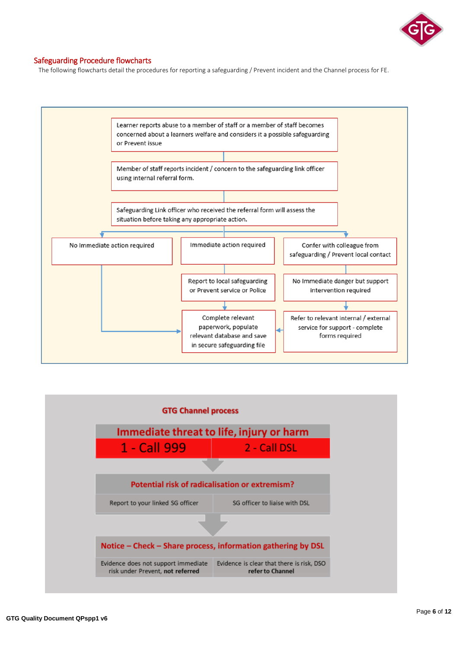

# Safeguarding Procedure flowcharts

The following flowcharts detail the procedures for reporting a safeguarding / Prevent incident and the Channel process for FE.



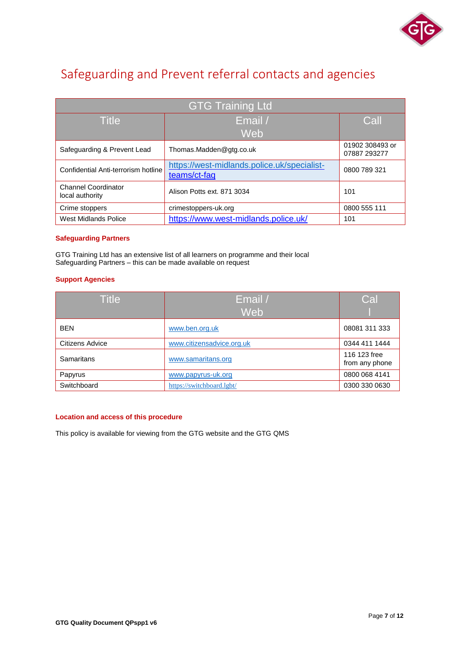

# Safeguarding and Prevent referral contacts and agencies

| <b>GTG Training Ltd</b>                       |                                                             |                                 |  |  |  |
|-----------------------------------------------|-------------------------------------------------------------|---------------------------------|--|--|--|
| <b>Title</b>                                  | Email /                                                     | Call                            |  |  |  |
|                                               | Web                                                         |                                 |  |  |  |
| Safeguarding & Prevent Lead                   | Thomas.Madden@gtg.co.uk                                     | 01902 308493 or<br>07887 293277 |  |  |  |
| Confidential Anti-terrorism hotline           | https://west-midlands.police.uk/specialist-<br>teams/ct-faq | 0800 789 321                    |  |  |  |
| <b>Channel Coordinator</b><br>local authority | Alison Potts ext. 871 3034                                  | 101                             |  |  |  |
| Crime stoppers                                | crimestoppers-uk.org                                        | 0800 555 111                    |  |  |  |
| West Midlands Police                          | https://www.west-midlands.police.uk/                        | 101                             |  |  |  |

# **Safeguarding Partners**

GTG Training Ltd has an extensive list of all learners on programme and their local Safeguarding Partners – this can be made available on request

# **Support Agencies**

| <b>Title</b>    | Email /                   | Cal                            |
|-----------------|---------------------------|--------------------------------|
|                 | Web                       |                                |
| <b>BEN</b>      | www.ben.org.uk            | 08081 311 333                  |
| Citizens Advice | www.citizensadvice.org.uk | 0344 411 1444                  |
| Samaritans      | www.samaritans.org        | 116 123 free<br>from any phone |
| Papyrus         | www.papyrus-uk.org        | 0800 068 4141                  |
| Switchboard     | https://switchboard.lgbt/ | 0300 330 0630                  |

# **Location and access of this procedure**

This policy is available for viewing from the GTG website and the GTG QMS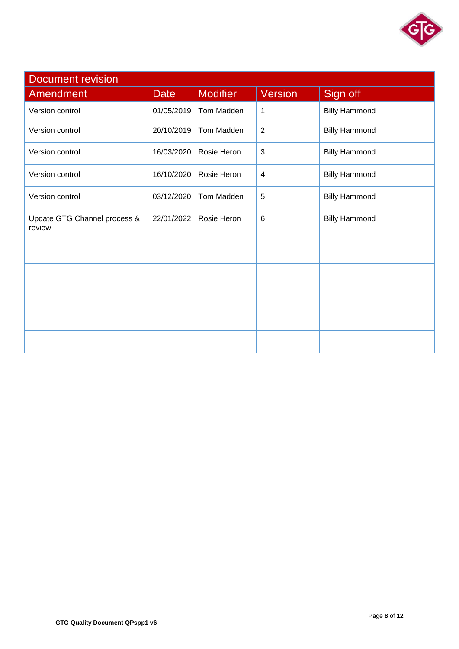

| <b>Document revision</b>               |             |                 |                |                      |  |  |
|----------------------------------------|-------------|-----------------|----------------|----------------------|--|--|
| Amendment                              | <b>Date</b> | <b>Modifier</b> | <b>Version</b> | Sign off             |  |  |
| Version control                        | 01/05/2019  | Tom Madden      | 1              | <b>Billy Hammond</b> |  |  |
| Version control                        | 20/10/2019  | Tom Madden      | $\overline{2}$ | <b>Billy Hammond</b> |  |  |
| Version control                        | 16/03/2020  | Rosie Heron     | 3              | <b>Billy Hammond</b> |  |  |
| Version control                        | 16/10/2020  | Rosie Heron     | $\overline{4}$ | <b>Billy Hammond</b> |  |  |
| Version control                        | 03/12/2020  | Tom Madden      | 5              | <b>Billy Hammond</b> |  |  |
| Update GTG Channel process &<br>review | 22/01/2022  | Rosie Heron     | 6              | <b>Billy Hammond</b> |  |  |
|                                        |             |                 |                |                      |  |  |
|                                        |             |                 |                |                      |  |  |
|                                        |             |                 |                |                      |  |  |
|                                        |             |                 |                |                      |  |  |
|                                        |             |                 |                |                      |  |  |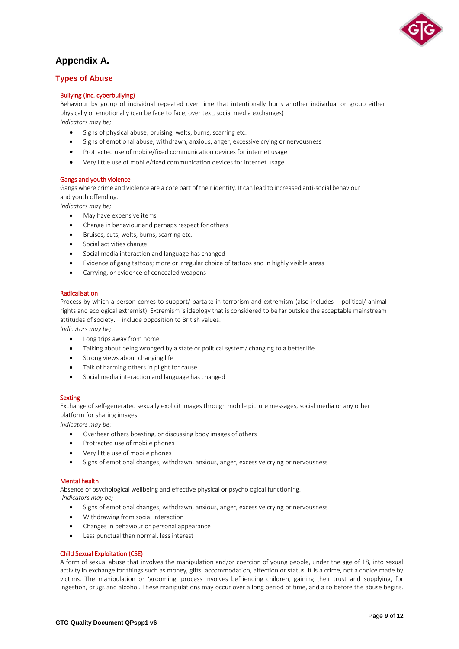

# **Appendix A.**

# **Types of Abuse**

# Bullying (Inc. cyberbullying)

Behaviour by group of individual repeated over time that intentionally hurts another individual or group either physically or emotionally (can be face to face, over text, social media exchanges) *Indicators may be;*

- Signs of physical abuse; bruising, welts, burns, scarring etc.
- Signs of emotional abuse; withdrawn, anxious, anger, excessive crying or nervousness
- Protracted use of mobile/fixed communication devices for internet usage
- Very little use of mobile/fixed communication devices for internet usage

# Gangs and youth violence

Gangs where crime and violence are a core part of their identity. It can lead to increased anti-social behaviour and youth offending.

*Indicators may be;*

- May have expensive items
- Change in behaviour and perhaps respect for others
- Bruises, cuts, welts, burns, scarring etc.
- Social activities change
- Social media interaction and language has changed
- Evidence of gang tattoos; more or irregular choice of tattoos and in highly visible areas
- Carrying, or evidence of concealed weapons

# Radicalisation

Process by which a person comes to support/ partake in terrorism and extremism (also includes – political/ animal rights and ecological extremist). Extremism is ideology that is considered to be far outside the acceptable mainstream attitudes of society. – include opposition to British values.

*Indicators may be;*

- Long trips away from home
- Talking about being wronged by a state or political system/ changing to a betterlife
- Strong views about changing life
- Talk of harming others in plight for cause
- Social media interaction and language has changed

# **Sexting**

Exchange of self-generated sexually explicit images through mobile picture messages, social media or any other platform for sharing images.

*Indicators may be;*

- Overhear others boasting, or discussing body images of others
- Protracted use of mobile phones
- Very little use of mobile phones
- Signs of emotional changes; withdrawn, anxious, anger, excessive crying or nervousness

# Mental health

Absence of psychological wellbeing and effective physical or psychological functioning. *Indicators may be;*

- Signs of emotional changes; withdrawn, anxious, anger, excessive crying or nervousness
- Withdrawing from social interaction
- Changes in behaviour or personal appearance
- Less punctual than normal, less interest

# Child Sexual Exploitation (CSE)

A form of sexual abuse that involves the manipulation and/or coercion of young people, under the age of 18, into sexual activity in exchange for things such as money, gifts, accommodation, affection or status. It is a crime, not a choice made by victims. The manipulation or 'grooming' process involves befriending children, gaining their trust and supplying, for ingestion, drugs and alcohol. These manipulations may occur over a long period of time, and also before the abuse begins.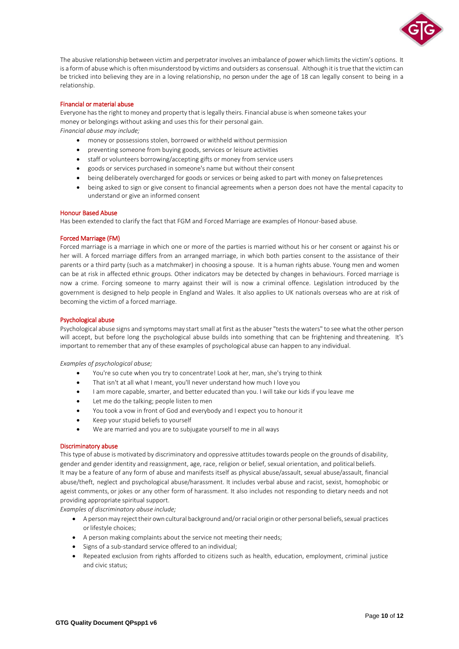

The abusive relationship between victim and perpetrator involves an imbalance of power which limits the victim's options. It is a form of abuse which is often misunderstood by victims and outsiders as consensual. Although it is true that the victim can be tricked into believing they are in a loving relationship, no person under the age of 18 can legally consent to being in a relationship.

# Financial or material abuse

Everyone has the right to money and property that is legally theirs. Financial abuse is when someone takes your money or belongings without asking and uses this for their personal gain. *Financial abuse may include;*

- money or possessions stolen, borrowed or withheld without permission
- preventing someone from buying goods, services or leisure activities
- staff or volunteers borrowing/accepting gifts or money from service users
- goods or services purchased in someone's name but without their consent
- being deliberately overcharged for goods or services or being asked to part with money on falsepretences
- being asked to sign or give consent to financial agreements when a person does not have the mental capacity to understand or give an informed consent

#### Honour Based Abuse

Has been extended to clarify the fact that FGM and Forced Marriage are examples of Honour-based abuse.

#### Forced Marriage (FM)

Forced marriage is a marriage in which one or more of the parties is married without his or her consent or against his or her will. A forced marriage differs from an arranged marriage, in which both parties consent to the assistance of their parents or a third party (such as a matchmaker) in choosing a spouse. It is a human rights abuse. Young men and women can be at risk in affected ethnic groups. Other indicators may be detected by changes in behaviours. Forced marriage is now a crime. Forcing someone to marry against their will is now a criminal offence. Legislation introduced by the government is designed to help people in England and Wales. It also applies to UK nationals overseas who are at risk of becoming the victim of a forced marriage.

#### Psychological abuse

Psychological abuse signs and symptoms may start small at first as the abuser "tests the waters" to see what the other person will accept, but before long the psychological abuse builds into something that can be frightening and threatening. It's important to remember that any of these examples of psychological abuse can happen to any individual.

#### *Examples of psychological abuse;*

- You're so cute when you try to concentrate! Look at her, man, she's trying to think
- That isn't at all what I meant, you'll never understand how much I love you
- I am more capable, smarter, and better educated than you. I will take our kids if you leave me
- Let me do the talking; people listen to men
- You took a vow in front of God and everybody and I expect you to honourit
- Keep your stupid beliefs to yourself
- We are married and you are to subjugate yourself to me in allways

#### Discriminatory abuse

This type of abuse is motivated by discriminatory and oppressive attitudes towards people on the grounds of disability, gender and gender identity and reassignment, age, race, religion or belief, sexual orientation, and political beliefs. It may be a feature of any form of abuse and manifests itself as physical abuse/assault, sexual abuse/assault, financial abuse/theft, neglect and psychological abuse/harassment. It includes verbal abuse and racist, sexist, homophobic or ageist comments, or jokes or any other form of harassment. It also includes not responding to dietary needs and not providing appropriate spiritual support.

*Examples of discriminatory abuse include;*

- A person may reject their own cultural background and/or racial origin or other personal beliefs, sexual practices orlifestyle choices;
- A person making complaints about the service not meeting their needs;
- Signs of a sub-standard service offered to an individual;
- Repeated exclusion from rights afforded to citizens such as health, education, employment, criminal justice and civic status;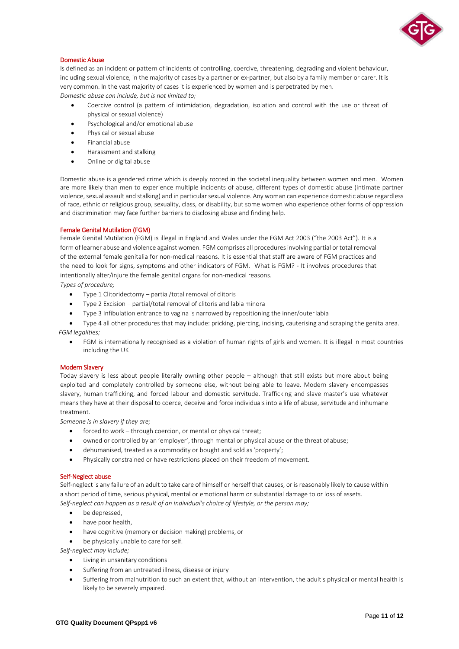

# Domestic Abuse

Is defined as an incident or pattern of incidents of controlling, coercive, threatening, degrading and violent behaviour, including sexual violence, in the majority of cases by a partner or ex-partner, but also by a family member or carer. It is very common. In the vast majority of cases it is experienced by women and is perpetrated by men. *Domestic abuse can include, but is not limited to;*

- Coercive control (a pattern of intimidation, degradation, isolation and control with the use or threat of physical or sexual violence)
- Psychological and/or emotional abuse
- Physical or sexual abuse
- Financial abuse
- Harassment and stalking
- Online or digital abuse

Domestic abuse is a gendered crime which is deeply rooted in the societal inequality between women and men. Women are more likely than men to experience multiple incidents of abuse, different types of domestic abuse (intimate partner violence, sexual assault and stalking) and in particular sexual violence. Any woman can experience domestic abuse regardless of race, ethnic or religious group, sexuality, class, or disability, but some women who experience other forms of oppression and discrimination may face further barriers to disclosing abuse and finding help.

#### Female Genital Mutilation (FGM)

Female Genital Mutilation (FGM) is illegal in England and Wales under the FGM Act 2003 ("the 2003 Act"). It is a form of learner abuse and violence against women. FGM comprises all procedures involving partial or total removal of the external female genitalia for non-medical reasons. It is essential that staff are aware of FGM practices and the need to look for signs, symptoms and other indicators of FGM. What is FGM? - It involves procedures that intentionally alter/injure the female genital organs for non-medical reasons.

*Types of procedure;*

- Type 1 Clitoridectomy partial/total removal of clitoris
- Type 2 Excision partial/total removal of clitoris and labia minora
- Type 3 Infibulation entrance to vagina is narrowed by repositioning the inner/outerlabia
- Type 4 all other procedures that may include: pricking, piercing, incising, cauterising and scraping the genitalarea. *FGM legalities;*
	- FGM is internationally recognised as a violation of human rights of girls and women. It is illegal in most countries including the UK

#### Modern Slavery

Today slavery is less about people literally owning other people – although that still exists but more about being exploited and completely controlled by someone else, without being able to leave. Modern slavery encompasses slavery, human trafficking, and forced labour and domestic servitude. Trafficking and slave master's use whatever means they have at their disposal to coerce, deceive and force individuals into a life of abuse, servitude and inhumane treatment.

*Someone is in slavery if they are;*

- forced to work through coercion, or mental or physical threat;
- owned or controlled by an 'employer', through mental or physical abuse or the threat of abuse;
- dehumanised, treated as a commodity or bought and sold as'property';
- Physically constrained or have restrictions placed on their freedom of movement.

#### Self-Neglect abuse

Self-neglect is any failure of an adult to take care of himself or herself that causes, or is reasonably likely to cause within a short period of time, serious physical, mental or emotional harm or substantial damage to or loss of assets. *Self-neglect can happen as a result of an individual's choice of lifestyle, or the person may;*

- be depressed,
- have poor health,
- have cognitive (memory or decision making) problems, or
- be physically unable to care for self.

*Self-neglect may include;*

- Living in unsanitary conditions
- Suffering from an untreated illness, disease or injury
- Suffering from malnutrition to such an extent that, without an intervention, the adult's physical or mental health is likely to be severely impaired.